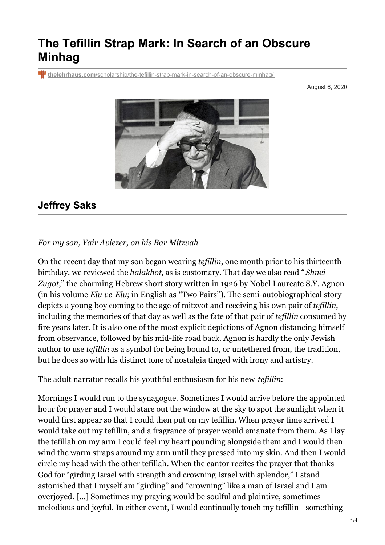## **The Tefillin Strap Mark: In Search of an Obscure Minhag**

**thelehrhaus.com**[/scholarship/the-tefillin-strap-mark-in-search-of-an-obscure-minhag/](https://thelehrhaus.com/scholarship/the-tefillin-strap-mark-in-search-of-an-obscure-minhag/)

August 6, 2020



## **Jeffrey Saks**

## *For my son, Yair Aviezer, on his Bar Mitzvah*

On the recent day that my son began wearing *tefillin*, one month prior to his thirteenth birthday, we reviewed the *halakhot*, as is customary. That day we also read " *Shnei Zugot*," the charming Hebrew short story written in 1926 by Nobel Laureate S.Y. Agnon (in his volume *Elu ve-Elu*; in English as "Two [Pairs"](https://amzn.to/3hRnzHL)). The semi-autobiographical story depicts a young boy coming to the age of mitzvot and receiving his own pair of *tefillin*, including the memories of that day as well as the fate of that pair of *tefillin* consumed by fire years later. It is also one of the most explicit depictions of Agnon distancing himself from observance, followed by his mid-life road back. Agnon is hardly the only Jewish author to use *tefillin* as a symbol for being bound to, or untethered from, the tradition, but he does so with his distinct tone of nostalgia tinged with irony and artistry.

The adult narrator recalls his youthful enthusiasm for his new *tefillin*:

Mornings I would run to the synagogue. Sometimes I would arrive before the appointed hour for prayer and I would stare out the window at the sky to spot the sunlight when it would first appear so that I could then put on my tefillin. When prayer time arrived I would take out my tefillin, and a fragrance of prayer would emanate from them. As I lay the tefillah on my arm I could feel my heart pounding alongside them and I would then wind the warm straps around my arm until they pressed into my skin. And then I would circle my head with the other tefillah. When the cantor recites the prayer that thanks God for "girding Israel with strength and crowning Israel with splendor," I stand astonished that I myself am "girding" and "crowning" like a man of Israel and I am overjoyed. […] Sometimes my praying would be soulful and plaintive, sometimes melodious and joyful. In either event, I would continually touch my tefillin—something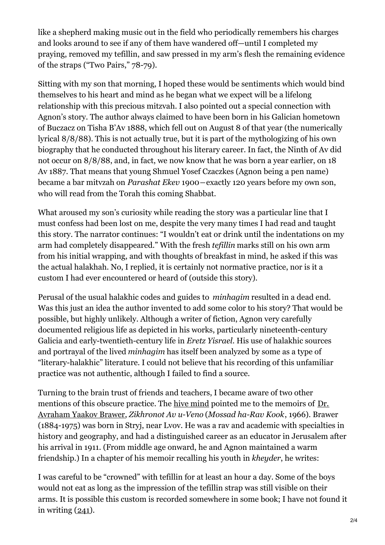like a shepherd making music out in the field who periodically remembers his charges and looks around to see if any of them have wandered off—until I completed my praying, removed my tefillin, and saw pressed in my arm's flesh the remaining evidence of the straps ("Two Pairs," 78-79).

Sitting with my son that morning, I hoped these would be sentiments which would bind themselves to his heart and mind as he began what we expect will be a lifelong relationship with this precious mitzvah. I also pointed out a special connection with Agnon's story. The author always claimed to have been born in his Galician hometown of Buczacz on Tisha B'Av 1888, which fell out on August 8 of that year (the numerically lyrical 8/8/88). This is not actually true, but it is part of the mythologizing of his own biography that he conducted throughout his literary career. In fact, the Ninth of Av did not occur on 8/8/88, and, in fact, we now know that he was born a year earlier, on 18 Av 1887. That means that young Shmuel Yosef Czaczkes (Agnon being a pen name) became a bar mitvzah on *Parashat Ekev* 1900―exactly 120 years before my own son, who will read from the Torah this coming Shabbat.

What aroused my son's curiosity while reading the story was a particular line that I must confess had been lost on me, despite the very many times I had read and taught this story. The narrator continues: "I wouldn't eat or drink until the indentations on my arm had completely disappeared." With the fresh *tefillin* marks still on his own arm from his initial wrapping, and with thoughts of breakfast in mind, he asked if this was the actual halakhah. No, I replied, it is certainly not normative practice, nor is it a custom I had ever encountered or heard of (outside this story).

Perusal of the usual halakhic codes and guides to *minhagim* resulted in a dead end. Was this just an idea the author invented to add some color to his story? That would be possible, but highly unlikely. Although a writer of fiction, Agnon very carefully documented religious life as depicted in his works, particularly nineteenth-century Galicia and early-twentieth-century life in *Eretz Yisrael*. His use of halakhic sources and portrayal of the lived *minhagim* has itself been analyzed by some as a type of "literary-halakhic" literature. I could not believe that his recording of this unfamiliar practice was not authentic, although I failed to find a source.

Turning to the brain trust of friends and teachers, I became aware of two other [mentions](https://he.wikipedia.org/wiki/%D7%90%D7%91%D7%A8%D7%94%D7%9D_%D7%99%D7%A2%D7%A7%D7%91_%D7%91%D7%A8%D7%95%D7%A8) of this obscure practice. The hive [mind](https://www.facebook.com/groups/323123571656113/) pointed me to the memoirs of Dr. Avraham Yaakov Brawer, *Zikhronot Av u-Veno* (*Mossad ha-Rav Kook*, 1966). Brawer (1884-1975) was born in Stryj, near Lvov. He was a rav and academic with specialties in history and geography, and had a distinguished career as an educator in Jerusalem after his arrival in 1911. (From middle age onward, he and Agnon maintained a warm friendship.) In a chapter of his memoir recalling his youth in *kheyder*, he writes:

I was careful to be "crowned" with tefillin for at least an hour a day. Some of the boys would not eat as long as the impression of the tefillin strap was still visible on their arms. It is possible this custom is recorded somewhere in some book; I have not found it in writing  $(241)$ .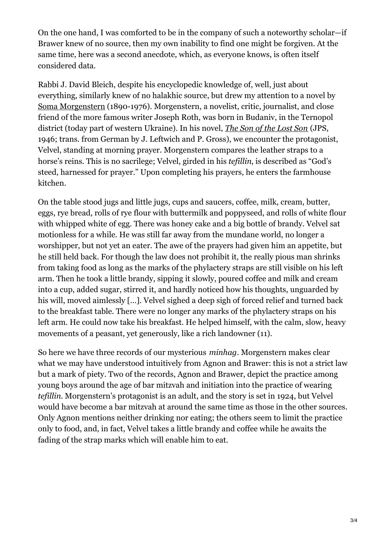On the one hand, I was comforted to be in the company of such a noteworthy scholar—if Brawer knew of no source, then my own inability to find one might be forgiven. At the same time, here was a second anecdote, which, as everyone knows, is often itself considered data.

Rabbi J. David Bleich, despite his encyclopedic knowledge of, well, just about everything, similarly knew of no halakhic source, but drew my attention to a novel by Soma [Morgenstern](https://en.wikipedia.org/wiki/Soma_Morgenstern) (1890-1976). Morgenstern, a novelist, critic, journalist, and close friend of the more famous writer Joseph Roth, was born in Budaniv, in the Ternopol district (today part of western Ukraine). In his novel, *The Son of the [Lost](https://amzn.to/39CafUw) Son* (JPS, 1946; trans. from German by J. Leftwich and P. Gross), we encounter the protagonist, Velvel, standing at morning prayer. Morgenstern compares the leather straps to a horse's reins. This is no sacrilege; Velvel, girded in his *tefillin*, is described as "God's steed, harnessed for prayer." Upon completing his prayers, he enters the farmhouse kitchen.

On the table stood jugs and little jugs, cups and saucers, coffee, milk, cream, butter, eggs, rye bread, rolls of rye flour with buttermilk and poppyseed, and rolls of white flour with whipped white of egg. There was honey cake and a big bottle of brandy. Velvel sat motionless for a while. He was still far away from the mundane world, no longer a worshipper, but not yet an eater. The awe of the prayers had given him an appetite, but he still held back. For though the law does not prohibit it, the really pious man shrinks from taking food as long as the marks of the phylactery straps are still visible on his left arm. Then he took a little brandy, sipping it slowly, poured coffee and milk and cream into a cup, added sugar, stirred it, and hardly noticed how his thoughts, unguarded by his will, moved aimlessly [...]. Velvel sighed a deep sigh of forced relief and turned back to the breakfast table. There were no longer any marks of the phylactery straps on his left arm. He could now take his breakfast. He helped himself, with the calm, slow, heavy movements of a peasant, yet generously, like a rich landowner (11).

So here we have three records of our mysterious *minhag*. Morgenstern makes clear what we may have understood intuitively from Agnon and Brawer: this is not a strict law but a mark of piety. Two of the records, Agnon and Brawer, depict the practice among young boys around the age of bar mitzvah and initiation into the practice of wearing *tefillin*. Morgenstern's protagonist is an adult, and the story is set in 1924, but Velvel would have become a bar mitzvah at around the same time as those in the other sources. Only Agnon mentions neither drinking nor eating; the others seem to limit the practice only to food, and, in fact, Velvel takes a little brandy and coffee while he awaits the fading of the strap marks which will enable him to eat.